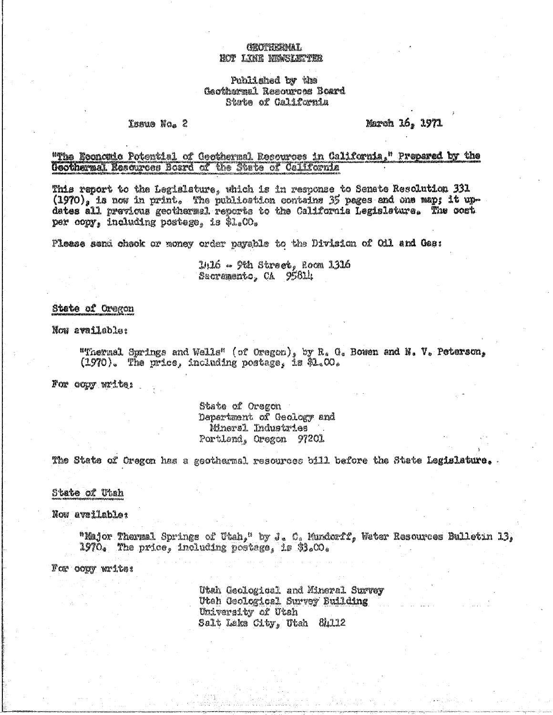# CERCULTURING AT. MOT LINE NINGLIA LIA

## Published by the Gaothermal Resources Board State of California

## Issue No. 2

March 16, 1971

## "The Economic Potential of Geothermal Resources in California," Prepared by the Geothermal Resources Board of the State of California

This report to the Legislature, which is in response to Senate Resolution 331  $(1970)_s$  is now in print. The publication contains 35 pages and one map; it updates all previcus geothermal reports to the California Legislature. The cost per copy, including postage, is \$1.00.

Please send check or money order payable to the Division of Cil and Gas:

 $2/16 \sim$   $9$ th Street, Room 1316 Sacramento, CA 95614

## State of Oregon

Now available:

"Thermal Springs and Wells" (of Oregon), by R. G. Bowen and N. V. Peterson,  $(1970)$ . The price, including postage, is \$1.00.

For copy write:

## State of Oregon Department of Geology and Mineral Industries Portland, Oregon 97201

The State of Oregon has a geothermal resources bill before the State Legislature. .

## State of Utah

Now available:

"Major Thermal Springs of Utah," by J. C. Mundorff, Water Resources Bulletin 13, 1970. The price, including postage, is \$3.00.

For copy write:

Utah Geological and Mineral Survey Utah Geological Survey Building University of Utah Salt Lake City, Utah 84112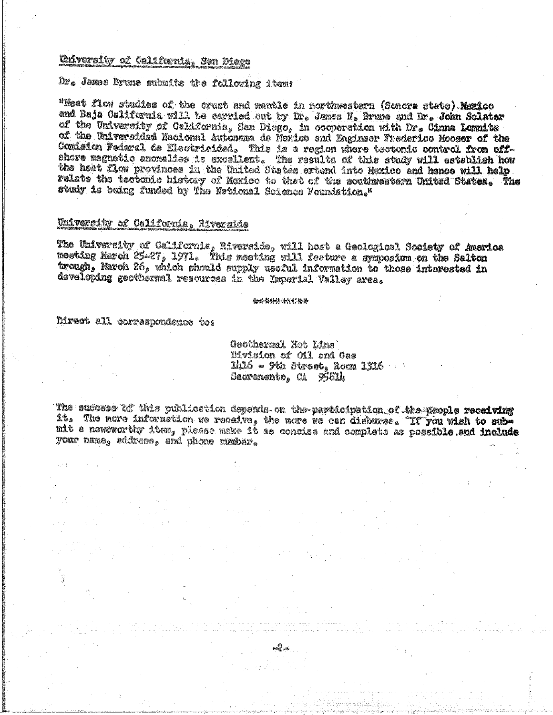# Whitersity of California, San Diego

Dr. James Brune submits tre following item:

"Heat flow studies of the crust and mantle in northwestern (Sonora state) Mexico and Baja California will be carried out by Dr. James N. Brune and Dr. John Sclater of the University of California, San Diego, in cooperation with Dr. Cinna Lomnits<br>of the Universidad Nacional Autonama de Mexico and Enginser Frederico Mooser of the Comision Pederal de Electricidad. This is a region where tectonic control from off-<br>shore magnetic anomalies is excellent. The results of this study will establish how the heat flow provinces in the United States extend into Mexico and hence will help relate the tectonic history of Moxico to that of the southwestern United States. The study is being funded by The Netional Science Foundation."

# University of California, Riverside

The University of California, Riverside, will host a Geological Society of America moeting March 25-27, 1971. This meeting will feature a symposium on the Salton trough, March 26, which should supply useful information to those interested in developing geothermal resources in the Imperial Valley area.

金楼长龄接信转装装

Direct all correspondence to:

Geotharmal Hat Line Division of Oil and Gas  $11.16$  - 9th Street, Room  $1316$  . . . Sadramento, CA 95814

The sudosse af this publication depends on the participation of the people receiving it. The nore information we receive, the more we can disburse. If you wish to submit a nowsworthy item, please make it as concise and complete as possible and include your name. address, and phone number.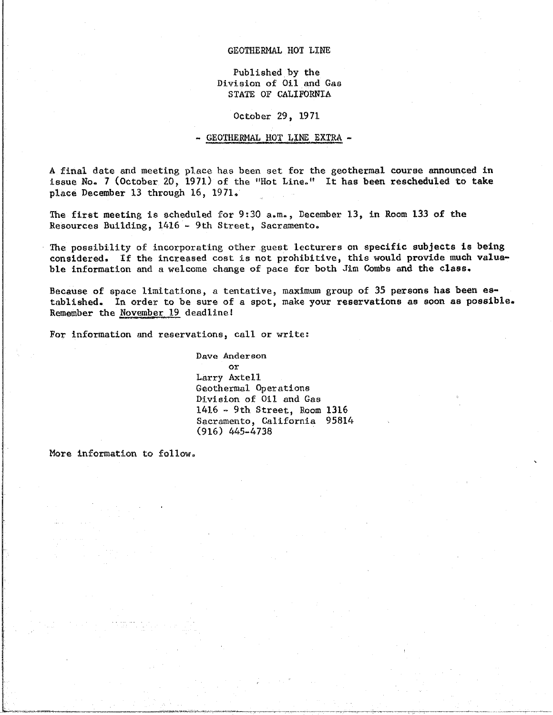## GEOTHERMAL HOT LINE

Published by the<br>Division of Oil and Gas Division of Oil and Gas STATE OF CALIFORNIA

October 29, 1971

#### - GEOTHERMAL HOT LINE EXTRA -

A final date and meeting place has been set f**o**r the geothermal c**ou**r**s**e an**n**oun**c**ed i**n** issue No. 7 (October 20, 1971) of the "Hot Line\_ \_t It has been resche**d**uled to take pla**c**e December 13 through 16, 1971.

The first meeting is scheduled for 9.30 a.m., perspectively in Room 133 of the 9.30 a.m., **December 133 of the 133 of the 133 of the 133 of the 133 of the 133 of the 133 of the 133 of the 133 of the 133 of the 133 of the 1** Resources Building, 1416 - 9th Street, Sacramento°

The possibility of in**c**orporating other guest lecturers on specific su**b**je**c**ts is being considered. If the includes the increased cost is not problem in the increased cost is not provide the class. ble information and a welcome change of pace for both Jim **C**ombs and the cla**s**s.

 $\frac{1}{2}$ ta**b**lished. I**n** order to be sure of a spot, make y**o**ur reservations as s**oo**n as p**o**ssible. Remember the November**!**\_ 9 deadlinel

For information and reservations, call or write:

Dave Anderson<br>or Larry Axtell Geothermal Operations Division of Oil and Gas  $1416 - 9th$  Street, Room  $1316$ Sacramento, California 95814  $\binom{916}{465}$ , California 95814  $\sqrt{9}$ 

More information to follow.